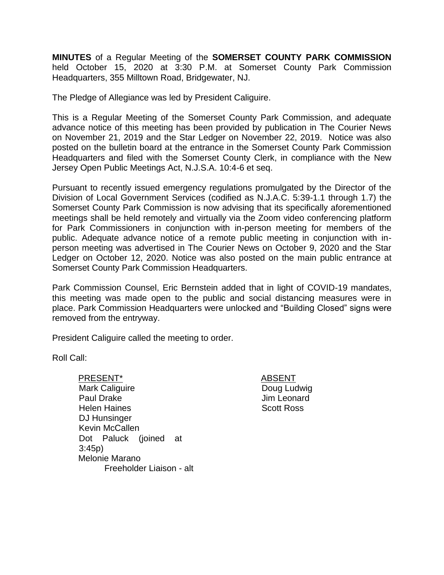**MINUTES** of a Regular Meeting of the **SOMERSET COUNTY PARK COMMISSION** held October 15, 2020 at 3:30 P.M. at Somerset County Park Commission Headquarters, 355 Milltown Road, Bridgewater, NJ.

The Pledge of Allegiance was led by President Caliguire.

This is a Regular Meeting of the Somerset County Park Commission, and adequate advance notice of this meeting has been provided by publication in The Courier News on November 21, 2019 and the Star Ledger on November 22, 2019. Notice was also posted on the bulletin board at the entrance in the Somerset County Park Commission Headquarters and filed with the Somerset County Clerk, in compliance with the New Jersey Open Public Meetings Act, N.J.S.A. 10:4-6 et seq.

Pursuant to recently issued emergency regulations promulgated by the Director of the Division of Local Government Services (codified as N.J.A.C. 5:39-1.1 through 1.7) the Somerset County Park Commission is now advising that its specifically aforementioned meetings shall be held remotely and virtually via the Zoom video conferencing platform for Park Commissioners in conjunction with in-person meeting for members of the public. Adequate advance notice of a remote public meeting in conjunction with inperson meeting was advertised in The Courier News on October 9, 2020 and the Star Ledger on October 12, 2020. Notice was also posted on the main public entrance at Somerset County Park Commission Headquarters.

Park Commission Counsel, Eric Bernstein added that in light of COVID-19 mandates, this meeting was made open to the public and social distancing measures were in place. Park Commission Headquarters were unlocked and "Building Closed" signs were removed from the entryway.

President Caliguire called the meeting to order.

Roll Call:

- PRESENT\* ABSENT Mark Caliguire Paul Drake Helen Haines DJ Hunsinger Kevin McCallen Dot Paluck (joined at 3:45p) Melonie Marano Freeholder Liaison - alt
- Doug Ludwig Jim Leonard Scott Ross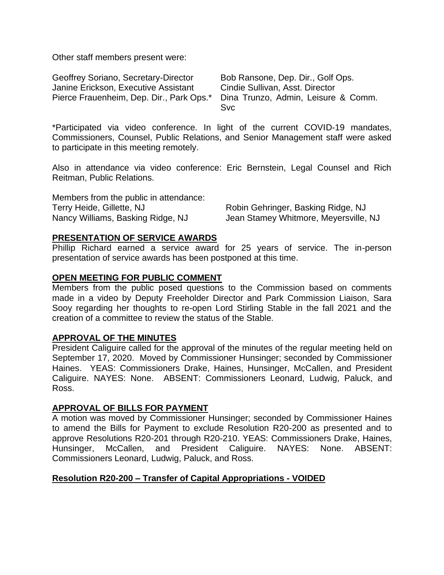Other staff members present were:

| Geoffrey Soriano, Secretary-Director                                         | Bob Ransone, Dep. Dir., Golf Ops. |
|------------------------------------------------------------------------------|-----------------------------------|
| Janine Erickson, Executive Assistant                                         | Cindie Sullivan, Asst. Director   |
| Pierce Frauenheim, Dep. Dir., Park Ops.* Dina Trunzo, Admin, Leisure & Comm. |                                   |
|                                                                              | <b>Svc</b>                        |

\*Participated via video conference. In light of the current COVID-19 mandates, Commissioners, Counsel, Public Relations, and Senior Management staff were asked to participate in this meeting remotely.

Also in attendance via video conference: Eric Bernstein, Legal Counsel and Rich Reitman, Public Relations.

| Members from the public in attendance: |                                       |
|----------------------------------------|---------------------------------------|
| Terry Heide, Gillette, NJ              | Robin Gehringer, Basking Ridge, NJ    |
| Nancy Williams, Basking Ridge, NJ      | Jean Stamey Whitmore, Meyersville, NJ |

#### **PRESENTATION OF SERVICE AWARDS**

Phillip Richard earned a service award for 25 years of service. The in-person presentation of service awards has been postponed at this time.

#### **OPEN MEETING FOR PUBLIC COMMENT**

Members from the public posed questions to the Commission based on comments made in a video by Deputy Freeholder Director and Park Commission Liaison, Sara Sooy regarding her thoughts to re-open Lord Stirling Stable in the fall 2021 and the creation of a committee to review the status of the Stable.

### **APPROVAL OF THE MINUTES**

President Caliguire called for the approval of the minutes of the regular meeting held on September 17, 2020. Moved by Commissioner Hunsinger; seconded by Commissioner Haines. YEAS: Commissioners Drake, Haines, Hunsinger, McCallen, and President Caliguire. NAYES: None. ABSENT: Commissioners Leonard, Ludwig, Paluck, and Ross.

#### **APPROVAL OF BILLS FOR PAYMENT**

A motion was moved by Commissioner Hunsinger; seconded by Commissioner Haines to amend the Bills for Payment to exclude Resolution R20-200 as presented and to approve Resolutions R20-201 through R20-210. YEAS: Commissioners Drake, Haines, Hunsinger, McCallen, and President Caliguire. NAYES: None. ABSENT: Commissioners Leonard, Ludwig, Paluck, and Ross.

### **Resolution R20-200 – Transfer of Capital Appropriations - VOIDED**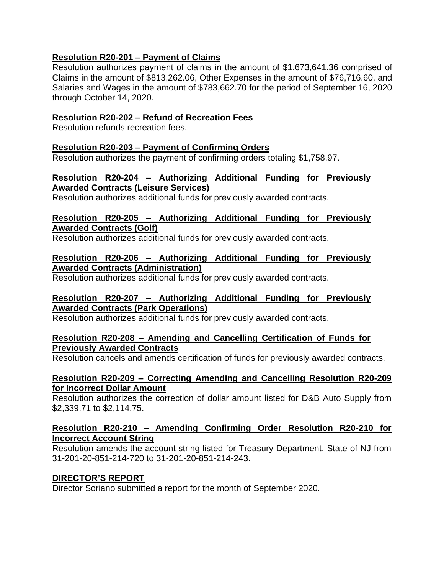# **Resolution R20-201 – Payment of Claims**

Resolution authorizes payment of claims in the amount of \$1,673,641.36 comprised of Claims in the amount of \$813,262.06, Other Expenses in the amount of \$76,716.60, and Salaries and Wages in the amount of \$783,662.70 for the period of September 16, 2020 through October 14, 2020.

## **Resolution R20-202 – Refund of Recreation Fees**

Resolution refunds recreation fees.

### **Resolution R20-203 – Payment of Confirming Orders**

Resolution authorizes the payment of confirming orders totaling \$1,758.97.

### **Resolution R20-204 – Authorizing Additional Funding for Previously Awarded Contracts (Leisure Services)**

Resolution authorizes additional funds for previously awarded contracts.

# **Resolution R20-205 – Authorizing Additional Funding for Previously Awarded Contracts (Golf)**

Resolution authorizes additional funds for previously awarded contracts.

#### **Resolution R20-206 – Authorizing Additional Funding for Previously Awarded Contracts (Administration)**

Resolution authorizes additional funds for previously awarded contracts.

# **Resolution R20-207 – Authorizing Additional Funding for Previously Awarded Contracts (Park Operations)**

Resolution authorizes additional funds for previously awarded contracts.

### **Resolution R20-208 – Amending and Cancelling Certification of Funds for Previously Awarded Contracts**

Resolution cancels and amends certification of funds for previously awarded contracts.

#### **Resolution R20-209 – Correcting Amending and Cancelling Resolution R20-209 for Incorrect Dollar Amount**

Resolution authorizes the correction of dollar amount listed for D&B Auto Supply from \$2,339.71 to \$2,114.75.

# **Resolution R20-210 – Amending Confirming Order Resolution R20-210 for Incorrect Account String**

Resolution amends the account string listed for Treasury Department, State of NJ from 31-201-20-851-214-720 to 31-201-20-851-214-243.

### **DIRECTOR'S REPORT**

Director Soriano submitted a report for the month of September 2020.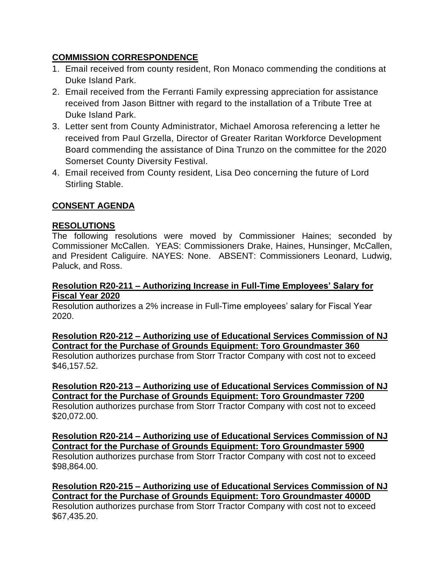# **COMMISSION CORRESPONDENCE**

- 1. Email received from county resident, Ron Monaco commending the conditions at Duke Island Park.
- 2. Email received from the Ferranti Family expressing appreciation for assistance received from Jason Bittner with regard to the installation of a Tribute Tree at Duke Island Park.
- 3. Letter sent from County Administrator, Michael Amorosa referencing a letter he received from Paul Grzella, Director of Greater Raritan Workforce Development Board commending the assistance of Dina Trunzo on the committee for the 2020 Somerset County Diversity Festival.
- 4. Email received from County resident, Lisa Deo concerning the future of Lord Stirling Stable.

# **CONSENT AGENDA**

# **RESOLUTIONS**

The following resolutions were moved by Commissioner Haines; seconded by Commissioner McCallen. YEAS: Commissioners Drake, Haines, Hunsinger, McCallen, and President Caliguire. NAYES: None. ABSENT: Commissioners Leonard, Ludwig, Paluck, and Ross.

#### **Resolution R20-211 – Authorizing Increase in Full-Time Employees' Salary for Fiscal Year 2020**

Resolution authorizes a 2% increase in Full-Time employees' salary for Fiscal Year 2020.

**Resolution R20-212 – Authorizing use of Educational Services Commission of NJ Contract for the Purchase of Grounds Equipment: Toro Groundmaster 360** Resolution authorizes purchase from Storr Tractor Company with cost not to exceed \$46,157.52.

**Resolution R20-213 – Authorizing use of Educational Services Commission of NJ Contract for the Purchase of Grounds Equipment: Toro Groundmaster 7200** Resolution authorizes purchase from Storr Tractor Company with cost not to exceed \$20,072.00.

**Resolution R20-214 – Authorizing use of Educational Services Commission of NJ Contract for the Purchase of Grounds Equipment: Toro Groundmaster 5900**

Resolution authorizes purchase from Storr Tractor Company with cost not to exceed \$98,864.00.

**Resolution R20-215 – Authorizing use of Educational Services Commission of NJ Contract for the Purchase of Grounds Equipment: Toro Groundmaster 4000D**

Resolution authorizes purchase from Storr Tractor Company with cost not to exceed \$67,435.20.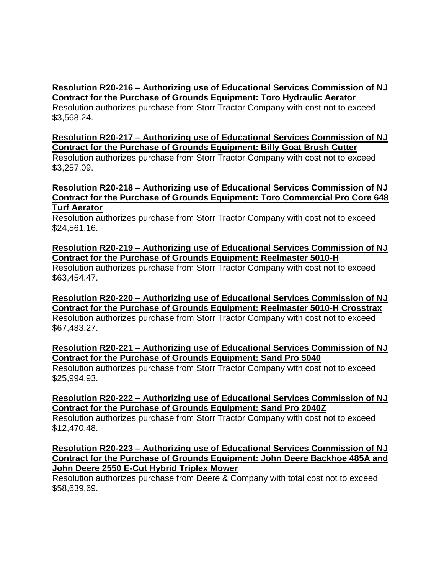# **Resolution R20-216 – Authorizing use of Educational Services Commission of NJ Contract for the Purchase of Grounds Equipment: Toro Hydraulic Aerator**

Resolution authorizes purchase from Storr Tractor Company with cost not to exceed \$3,568.24.

# **Resolution R20-217 – Authorizing use of Educational Services Commission of NJ Contract for the Purchase of Grounds Equipment: Billy Goat Brush Cutter**

Resolution authorizes purchase from Storr Tractor Company with cost not to exceed \$3,257.09.

### **Resolution R20-218 – Authorizing use of Educational Services Commission of NJ Contract for the Purchase of Grounds Equipment: Toro Commercial Pro Core 648 Turf Aerator**

Resolution authorizes purchase from Storr Tractor Company with cost not to exceed \$24,561.16.

# **Resolution R20-219 – Authorizing use of Educational Services Commission of NJ Contract for the Purchase of Grounds Equipment: Reelmaster 5010-H**

Resolution authorizes purchase from Storr Tractor Company with cost not to exceed \$63,454.47.

**Resolution R20-220 – Authorizing use of Educational Services Commission of NJ Contract for the Purchase of Grounds Equipment: Reelmaster 5010-H Crosstrax** Resolution authorizes purchase from Storr Tractor Company with cost not to exceed \$67,483.27.

# **Resolution R20-221 – Authorizing use of Educational Services Commission of NJ Contract for the Purchase of Grounds Equipment: Sand Pro 5040**

Resolution authorizes purchase from Storr Tractor Company with cost not to exceed \$25,994.93.

# **Resolution R20-222 – Authorizing use of Educational Services Commission of NJ Contract for the Purchase of Grounds Equipment: Sand Pro 2040Z**

Resolution authorizes purchase from Storr Tractor Company with cost not to exceed \$12,470.48.

### **Resolution R20-223 – Authorizing use of Educational Services Commission of NJ Contract for the Purchase of Grounds Equipment: John Deere Backhoe 485A and John Deere 2550 E-Cut Hybrid Triplex Mower**

Resolution authorizes purchase from Deere & Company with total cost not to exceed \$58,639.69.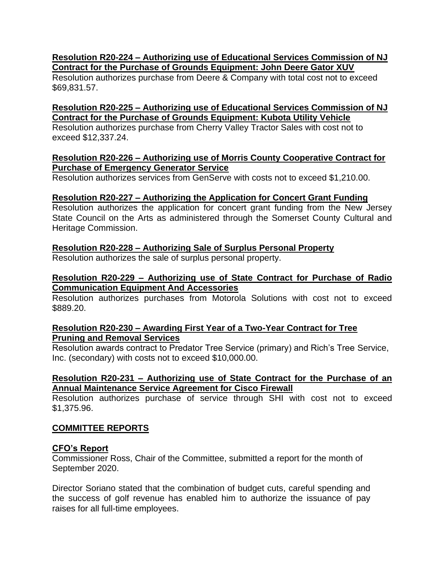#### **Resolution R20-224 – Authorizing use of Educational Services Commission of NJ Contract for the Purchase of Grounds Equipment: John Deere Gator XUV**

Resolution authorizes purchase from Deere & Company with total cost not to exceed \$69,831.57.

## **Resolution R20-225 – Authorizing use of Educational Services Commission of NJ Contract for the Purchase of Grounds Equipment: Kubota Utility Vehicle**

Resolution authorizes purchase from Cherry Valley Tractor Sales with cost not to exceed \$12,337.24.

#### **Resolution R20-226 – Authorizing use of Morris County Cooperative Contract for Purchase of Emergency Generator Service**

Resolution authorizes services from GenServe with costs not to exceed \$1,210.00.

### **Resolution R20-227 – Authorizing the Application for Concert Grant Funding**

Resolution authorizes the application for concert grant funding from the New Jersey State Council on the Arts as administered through the Somerset County Cultural and Heritage Commission.

### **Resolution R20-228 – Authorizing Sale of Surplus Personal Property**

Resolution authorizes the sale of surplus personal property.

## **Resolution R20-229 – Authorizing use of State Contract for Purchase of Radio Communication Equipment And Accessories**

Resolution authorizes purchases from Motorola Solutions with cost not to exceed \$889.20.

### **Resolution R20-230 – Awarding First Year of a Two-Year Contract for Tree Pruning and Removal Services**

Resolution awards contract to Predator Tree Service (primary) and Rich's Tree Service, Inc. (secondary) with costs not to exceed \$10,000.00.

#### **Resolution R20-231 – Authorizing use of State Contract for the Purchase of an Annual Maintenance Service Agreement for Cisco Firewall**

Resolution authorizes purchase of service through SHI with cost not to exceed \$1,375.96.

### **COMMITTEE REPORTS**

### **CFO's Report**

Commissioner Ross, Chair of the Committee, submitted a report for the month of September 2020.

Director Soriano stated that the combination of budget cuts, careful spending and the success of golf revenue has enabled him to authorize the issuance of pay raises for all full-time employees.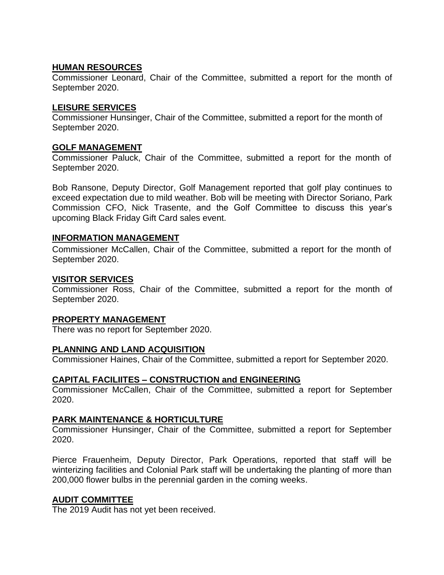### **HUMAN RESOURCES**

Commissioner Leonard, Chair of the Committee, submitted a report for the month of September 2020.

### **LEISURE SERVICES**

Commissioner Hunsinger, Chair of the Committee, submitted a report for the month of September 2020.

### **GOLF MANAGEMENT**

Commissioner Paluck, Chair of the Committee, submitted a report for the month of September 2020.

Bob Ransone, Deputy Director, Golf Management reported that golf play continues to exceed expectation due to mild weather. Bob will be meeting with Director Soriano, Park Commission CFO, Nick Trasente, and the Golf Committee to discuss this year's upcoming Black Friday Gift Card sales event.

### **INFORMATION MANAGEMENT**

Commissioner McCallen, Chair of the Committee, submitted a report for the month of September 2020.

#### **VISITOR SERVICES**

Commissioner Ross, Chair of the Committee, submitted a report for the month of September 2020.

### **PROPERTY MANAGEMENT**

There was no report for September 2020.

### **PLANNING AND LAND ACQUISITION**

Commissioner Haines, Chair of the Committee, submitted a report for September 2020.

### **CAPITAL FACILIITES – CONSTRUCTION and ENGINEERING**

Commissioner McCallen, Chair of the Committee, submitted a report for September 2020.

### **PARK MAINTENANCE & HORTICULTURE**

Commissioner Hunsinger, Chair of the Committee, submitted a report for September 2020.

Pierce Frauenheim, Deputy Director, Park Operations, reported that staff will be winterizing facilities and Colonial Park staff will be undertaking the planting of more than 200,000 flower bulbs in the perennial garden in the coming weeks.

### **AUDIT COMMITTEE**

The 2019 Audit has not yet been received.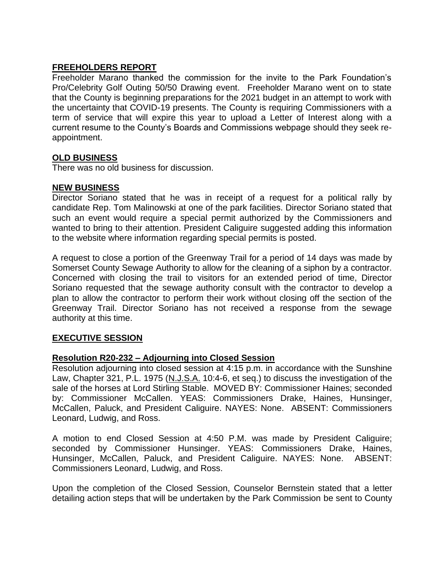# **FREEHOLDERS REPORT**

Freeholder Marano thanked the commission for the invite to the Park Foundation's Pro/Celebrity Golf Outing 50/50 Drawing event. Freeholder Marano went on to state that the County is beginning preparations for the 2021 budget in an attempt to work with the uncertainty that COVID-19 presents. The County is requiring Commissioners with a term of service that will expire this year to upload a Letter of Interest along with a current resume to the County's Boards and Commissions webpage should they seek reappointment.

### **OLD BUSINESS**

There was no old business for discussion.

### **NEW BUSINESS**

Director Soriano stated that he was in receipt of a request for a political rally by candidate Rep. Tom Malinowski at one of the park facilities. Director Soriano stated that such an event would require a special permit authorized by the Commissioners and wanted to bring to their attention. President Caliguire suggested adding this information to the website where information regarding special permits is posted.

A request to close a portion of the Greenway Trail for a period of 14 days was made by Somerset County Sewage Authority to allow for the cleaning of a siphon by a contractor. Concerned with closing the trail to visitors for an extended period of time, Director Soriano requested that the sewage authority consult with the contractor to develop a plan to allow the contractor to perform their work without closing off the section of the Greenway Trail. Director Soriano has not received a response from the sewage authority at this time.

### **EXECUTIVE SESSION**

### **Resolution R20-232 – Adjourning into Closed Session**

Resolution adjourning into closed session at 4:15 p.m. in accordance with the Sunshine Law, Chapter 321, P.L. 1975 (N.J.S.A. 10:4-6, et seq.) to discuss the investigation of the sale of the horses at Lord Stirling Stable. MOVED BY: Commissioner Haines; seconded by: Commissioner McCallen. YEAS: Commissioners Drake, Haines, Hunsinger, McCallen, Paluck, and President Caliguire. NAYES: None. ABSENT: Commissioners Leonard, Ludwig, and Ross.

A motion to end Closed Session at 4:50 P.M. was made by President Caliguire; seconded by Commissioner Hunsinger. YEAS: Commissioners Drake, Haines, Hunsinger, McCallen, Paluck, and President Caliguire. NAYES: None. ABSENT: Commissioners Leonard, Ludwig, and Ross.

Upon the completion of the Closed Session, Counselor Bernstein stated that a letter detailing action steps that will be undertaken by the Park Commission be sent to County